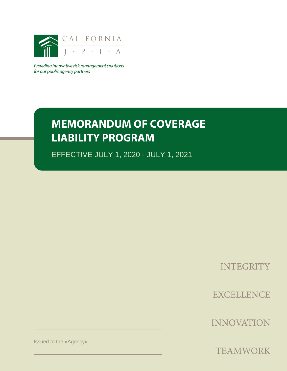

Providing innovative risk management solutions for our public agency partners

# **MEMORANDUM OF COVERAGE LIABILITY PROGRAM**

EFFECTIVE JULY 1, 2020 - JULY 1, 2021

**INTEGRITY** 

**EXCELLENCE** 

**INNOVATION** 

Issued to the «Agency»

**TEAMWORK**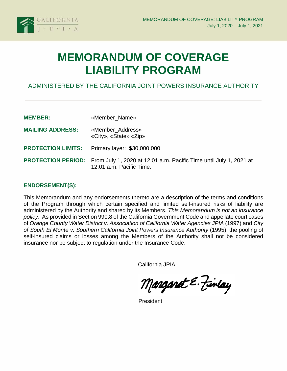

# **MEMORANDUM OF COVERAGE LIABILITY PROGRAM**

# ADMINISTERED BY THE CALIFORNIA JOINT POWERS INSURANCE AUTHORITY

| <b>MEMBER:</b>            | «Member Name»                                                                                                            |
|---------------------------|--------------------------------------------------------------------------------------------------------------------------|
| <b>MAILING ADDRESS:</b>   | «Member_Address»<br>«City», «State» «Zip»                                                                                |
| <b>PROTECTION LIMITS:</b> | Primary layer: \$30,000,000                                                                                              |
|                           | <b>PROTECTION PERIOD:</b> From July 1, 2020 at 12:01 a.m. Pacific Time until July 1, 2021 at<br>12:01 a.m. Pacific Time. |

## **ENDORSEMENT(S):**

This Memorandum and any endorsements thereto are a description of the terms and conditions of the Program through which certain specified and limited self-insured risks of liability are administered by the Authority and shared by its Members. *This Memorandum is not an insurance policy*. As provided in Section 990.8 of the California Government Code and appellate court cases of *Orange County Water District v. Association of California Water Agencies JPIA* (1997) and *City of South El Monte v. Southern California Joint Powers Insurance Authority* (1995), the pooling of self-insured claims or losses among the Members of the Authority shall not be considered insurance nor be subject to regulation under the Insurance Code.

California JPIA

Manganet E. Finlay

President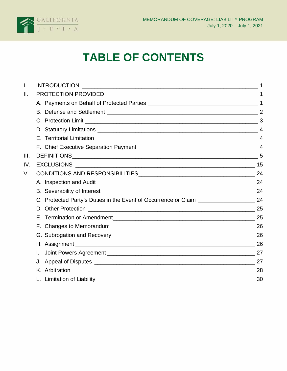

# **TABLE OF CONTENTS**

| I.   |     |
|------|-----|
| Ш.   |     |
|      |     |
|      |     |
|      |     |
|      |     |
|      |     |
|      |     |
| III. |     |
| IV.  |     |
| V.   | 24  |
|      |     |
|      |     |
|      |     |
|      |     |
|      |     |
|      | -26 |
|      |     |
|      |     |
|      |     |
|      |     |
|      | 28  |
|      |     |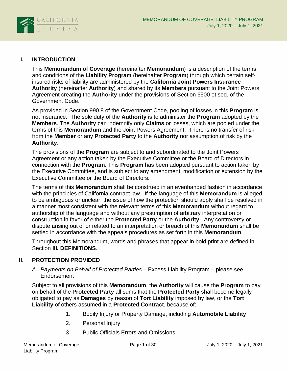

# <span id="page-3-0"></span>**I. INTRODUCTION**

This **Memorandum of Coverage** (hereinafter **Memorandum**) is a description of the terms and conditions of the **Liability Program** (hereinafter **Program**) through which certain selfinsured risks of liability are administered by the **California Joint Powers Insurance Authority** (hereinafter **Authority**) and shared by its **Members** pursuant to the Joint Powers Agreement creating the **Authority** under the provisions of Section 6500 et seq. of the Government Code.

As provided in Section 990.8 of the Government Code, pooling of losses in this **Program** is not insurance. The sole duty of the **Authority** is to administer the **Program** adopted by the **Members**. The **Authority** can indemnify only **Claims** or losses, which are pooled under the terms of this **Memorandum** and the Joint Powers Agreement. There is no transfer of risk from the **Member** or any **Protected Party** to the **Authority** nor assumption of risk by the **Authority**.

The provisions of the **Program** are subject to and subordinated to the Joint Powers Agreement or any action taken by the Executive Committee or the Board of Directors in connection with the **Program**. This **Program** has been adopted pursuant to action taken by the Executive Committee, and is subject to any amendment, modification or extension by the Executive Committee or the Board of Directors.

The terms of this **Memorandum** shall be construed in an evenhanded fashion in accordance with the principles of California contract law. If the language of this **Memorandum** is alleged to be ambiguous or unclear, the issue of how the protection should apply shall be resolved in a manner most consistent with the relevant terms of this **Memorandum** without regard to authorship of the language and without any presumption of arbitrary interpretation or construction in favor of either the **Protected Party** or the **Authority**. Any controversy or dispute arising out of or related to an interpretation or breach of this **Memorandum** shall be settled in accordance with the appeals procedures as set forth in this **Memorandum**.

Throughout this Memorandum, words and phrases that appear in bold print are defined in Section **III. DEFINITIONS**.

## <span id="page-3-2"></span><span id="page-3-1"></span>**II. PROTECTION PROVIDED**

*A. Payments on Behalf of Protected Parties* – Excess Liability Program – please see Endorsement

Subject to all provisions of this **Memorandum**, the **Authority** will cause the **Program** to pay on behalf of the **Protected Party** all sums that the **Protected Party** shall become legally obligated to pay as **Damages** by reason of **Tort Liability** imposed by law, or the **Tort Liability** of others assumed in a **Protected Contract**, because of:

- 1. Bodily Injury or Property Damage, including **Automobile Liability**
- 2. Personal Injury;
- 3. Public Officials Errors and Omissions;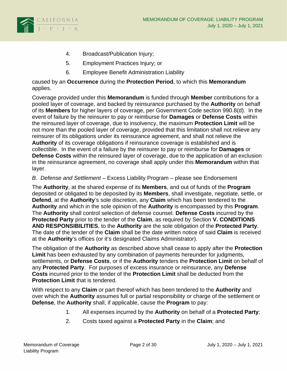

- 4. Broadcast/Publication Injury;
- 5. Employment Practices Injury; or
- 6. Employee Benefit Administration Liability

caused by an **Occurrence** during the **Protection Period**, to which this **Memorandum** applies.

Coverage provided under this **Memorandum** is funded through **Member** contributions for a pooled layer of coverage, and backed by reinsurance purchased by the **Authority** on behalf of its **Members** for higher layers of coverage, per Government Code section 990.8(d). In the event of failure by the reinsurer to pay or reimburse for **Damages** or **Defense Costs** within the reinsured layer of coverage, due to insolvency, the maximum **Protection Limit** will be not more than the pooled layer of coverage, provided that this limitation shall not relieve any reinsurer of its obligations under its reinsurance agreement, and shall not relieve the **Authority** of its coverage obligations if reinsurance coverage is established and is collectible. In the event of a failure by the reinsurer to pay or reimburse for **Damages** or **Defense Costs** within the reinsured layer of coverage, due to the application of an exclusion in the reinsurance agreement, no coverage shall apply under this **Memorandum** within that layer.

### <span id="page-4-0"></span>*B. Defense and Settlement* – Excess Liability Program – please see Endorsement

The **Authority**, at the shared expense of its **Members**, and out of funds of the **Program** deposited or obligated to be deposited by its **Members**, shall investigate, negotiate, settle, or **Defend**, at the **Authority**'s sole discretion, any **Claim** which has been tendered to the **Authority** and which in the sole opinion of the **Authority** is encompassed by this **Program**. The **Authority** shall control selection of defense counsel. **Defense Costs** incurred by the **Protected Party** prior to the tender of the **Claim**, as required by Section **V. CONDITIONS AND RESPONSIBILITIES**, to the **Authority** are the sole obligation of the **Protected Party**. The date of the tender of the **Claim** shall be the date written notice of said **Claim** is received at the **Authority**'s offices (or it's designated Claims Administrator).

The obligation of the **Authority** as described above shall cease to apply after the **Protection Limit** has been exhausted by any combination of payments hereunder for judgments, settlements, or **Defense Costs**, or if the **Authority** tenders the **Protection Limit** on behalf of any **Protected Party**. For purposes of excess insurance or reinsurance, any **Defense Costs** incurred prior to the tender of the **Protection Limit** shall be deducted from the **Protection Limit** that is tendered.

With respect to any **Claim** or part thereof which has been tendered to the **Authority** and over which the **Authority** assumes full or partial responsibility or charge of the settlement or **Defense**, the **Authority** shall, if applicable, cause the **Program** to pay:

- 1. All expenses incurred by the **Authority** on behalf of a **Protected Party**;
- 2. Costs taxed against a **Protected Party** in the **Claim**; and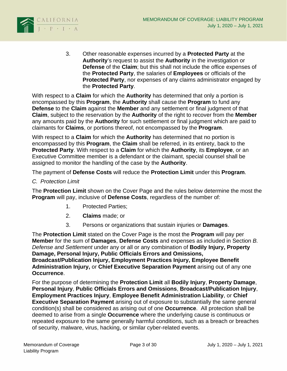

3. Other reasonable expenses incurred by a **Protected Party** at the **Authority**'s request to assist the **Authority** in the investigation or **Defense** of the **Claim**; but this shall not include the office expenses of the **Protected Party**, the salaries of **Employees** or officials of the **Protected Party**, nor expenses of any claims administrator engaged by the **Protected Party**.

With respect to a **Claim** for which the **Authority** has determined that only a portion is encompassed by this **Program**, the **Authority** shall cause the **Program** to fund any **Defense** to the **Claim** against the **Member** and any settlement or final judgment of that **Claim**, subject to the reservation by the **Authority** of the right to recover from the **Member** any amounts paid by the **Authority** for such settlement or final judgment which are paid to claimants for **Claims**, or portions thereof, not encompassed by the **Program**.

With respect to a **Claim** for which the **Authority** has determined that no portion is encompassed by this **Program**, the **Claim** shall be referred, in its entirety, back to the **Protected Party**. With respect to a **Claim** for which the **Authority**, its **Employee**, or an Executive Committee member is a defendant or the claimant, special counsel shall be assigned to monitor the handling of the case by the **Authority**.

The payment of **Defense Costs** will reduce the **Protection Limit** under this **Program**.

#### <span id="page-5-0"></span>*C. Protection Limit*

The **Protection Limit** shown on the Cover Page and the rules below determine the most the **Program** will pay, inclusive of **Defense Costs**, regardless of the number of:

- 1. Protected Parties;
- 2. **Claims** made; or
- 3. Persons or organizations that sustain injuries or **Damages**.

The **Protection Limit** stated on the Cover Page is the most the **Program** will pay per **Member** for the sum of **Damages**, **Defense Costs** and expenses as included in Section *B. Defense and Settlement* under any or all or any combination of **Bodily Injury, Property Damage, Personal Injury, Public Officials Errors and Omissions, Broadcast/Publication Injury, Employment Practices Injury, Employee Benefit Administration Injury,** or **Chief Executive Separation Payment** arising out of any one **Occurrence**.

For the purpose of determining the **Protection Limit** all **Bodily Injury**, **Property Damage**, **Personal Injury**, **Public Officials Errors and Omissions**, **Broadcast/Publication Injury**, **Employment Practices Injury**, **Employee Benefit Administration Liability**, or **Chief Executive Separation Payment** arising out of exposure to substantially the same general condition(s) shall be considered as arising out of one **Occurrence**. All protection shall be deemed to arise from a single **Occurrence** where the underlying cause is continuous or repeated exposure to the same generally harmful conditions, such as a breach or breaches of security, malware, virus, hacking, or similar cyber-related events.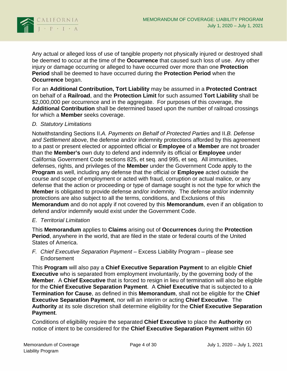

Any actual or alleged loss of use of tangible property not physically injured or destroyed shall be deemed to occur at the time of the **Occurrence** that caused such loss of use. Any other injury or damage occurring or alleged to have occurred over more than one **Protection Period** shall be deemed to have occurred during the **Protection Period** when the **Occurrence** began.

For an **Additional Contribution, Tort Liability** may be assumed in a **Protected Contract**  on behalf of a **Railroad**, and the **Protection Limit** for such assumed **Tort Liability** shall be \$2,000,000 per occurrence and in the aggregate. For purposes of this coverage, the **Additional Contribution** shall be determined based upon the number of railroad crossings for which a **Member** seeks coverage.

#### <span id="page-6-0"></span>*D. Statutory Limitations*

Notwithstanding Sections II.*A. Payments on Behalf of Protected Parties* and II.*B. Defense and Settlement* above, the defense and/or indemnity protections afforded by this agreement to a past or present elected or appointed official or **Employee** of a **Member** are not broader than the **Member's** own duty to defend and indemnify its official or **Employee** under California Government Code sections 825, et seq. and 995, et seq. All immunities, defenses, rights, and privileges of the **Member** under the Government Code apply to the **Program** as well, including any defense that the official or **Employee** acted outside the course and scope of employment or acted with fraud, corruption or actual malice, or any defense that the action or proceeding or type of damage sought is not the type for which the **Member** is obligated to provide defense and/or indemnity. The defense and/or indemnity protections are also subject to all the terms, conditions, and Exclusions of this **Memorandum** and do not apply if not covered by this **Memorandum**, even if an obligation to defend and/or indemnify would exist under the Government Code.

#### <span id="page-6-1"></span>*E. Territorial Limitation*

This **Memorandum** applies to **Claims** arising out of **Occurrences** during the **Protection Period**, anywhere in the world, that are filed in the state or federal courts of the United States of America.

<span id="page-6-2"></span>*F. Chief Executive Separation Payment* – Excess Liability Program – please see Endorsement

This **Program** will also pay a **Chief Executive Separation Payment** to an eligible **Chief Executive** who is separated from employment involuntarily, by the governing body of the **Member**. A **Chief Executive** that is forced to resign in lieu of termination will also be eligible for the **Chief Executive Separation Payment**. A **Chief Executive** that is subjected to a **Termination for Cause**, as defined in this **Memorandum**, shall not be eligible for the **Chief Executive Separation Payment**, nor will an interim or acting **Chief Executive**. The **Authority** at its sole discretion shall determine eligibility for the **Chief Executive Separation Payment**.

Conditions of eligibility require the separated **Chief Executive** to place the **Authority** on notice of intent to be considered for the **Chief Executive Separation Payment** within 60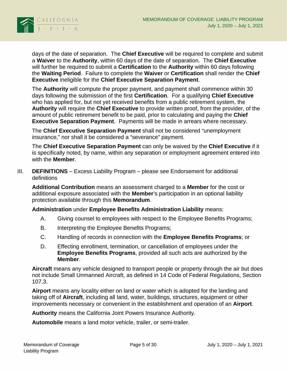

days of the date of separation. The **Chief Executive** will be required to complete and submit a **Waiver** to the **Authority**, within 60 days of the date of separation. The **Chief Executive**  will further be required to submit a **Certification** to the **Authority** within 60 days following the **Waiting Period**. Failure to complete the **Waiver** or **Certification** shall render the **Chief Executive** ineligible for the **Chief Executive Separation Payment**.

The **Authority** will compute the proper payment, and payment shall commence within 30 days following the submission of the first **Certification**. For a qualifying **Chief Executive**  who has applied for, but not yet received benefits from a public retirement system, the **Authority** will require the **Chief Executive** to provide written proof, from the provider, of the amount of public retirement benefit to be paid, prior to calculating and paying the **Chief Executive Separation Payment**. Payments will be made in arrears where necessary.

The **Chief Executive Separation Payment** shall not be considered "unemployment insurance," nor shall it be considered a "severance" payment.

The **Chief Executive Separation Payment** can only be waived by the **Chief Executive** if it is specifically noted, by name, within any separation or employment agreement entered into with the **Member**.

<span id="page-7-0"></span>III. **DEFINITIONS** – Excess Liability Program – please see Endorsement for additional definitions

**Additional Contribution** means an assessment charged to a **Member** for the cost or additional exposure associated with the **Member**'s participation in an optional liability protection available through this **Memorandum**.

**Administration** under **Employee Benefits Administration Liability** means:

- A. Giving counsel to employees with respect to the Employee Benefits Programs;
- B. Interpreting the Employee Benefits Programs;
- C. Handling of records in connection with the **Employee Benefits Programs**; or
- D. Effecting enrollment, termination, or cancellation of employees under the **Employee Benefits Programs**, provided all such acts are authorized by the **Member**.

**Aircraft** means any vehicle designed to transport people or property through the air but does not include Small Unmanned Aircraft, as defined in 14 Code of Federal Regulations, Section 107.3.

**Airport** means any locality either on land or water which is adopted for the landing and taking off of **Aircraft**, including all land, water, buildings, structures, equipment or other improvements necessary or convenient in the establishment and operation of an **Airport**.

**Authority** means the California Joint Powers Insurance Authority.

**Automobile** means a land motor vehicle, trailer, or semi-trailer.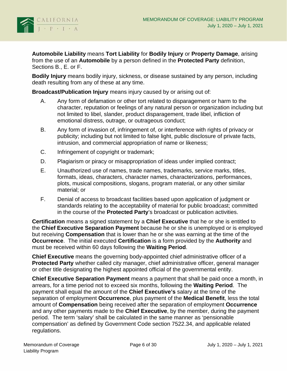

**Automobile Liability** means **Tort Liability** for **Bodily Injury** or **Property Damage**, arising from the use of an **Automobile** by a person defined in the **Protected Party** definition, Sections B., E. or F.

**Bodily Injury** means bodily injury, sickness, or disease sustained by any person, including death resulting from any of these at any time.

**Broadcast/Publication Injury** means injury caused by or arising out of:

- A. Any form of defamation or other tort related to disparagement or harm to the character, reputation or feelings of any natural person or organization including but not limited to libel, slander, product disparagement, trade libel, infliction of emotional distress, outrage, or outrageous conduct;
- B. Any form of invasion of, infringement of, or interference with rights of privacy or publicity; including but not limited to false light, public disclosure of private facts, intrusion, and commercial appropriation of name or likeness;
- C. Infringement of copyright or trademark;
- D. Plagiarism or piracy or misappropriation of ideas under implied contract;
- E. Unauthorized use of names, trade names, trademarks, service marks, titles, formats, ideas, characters, character names, characterizations, performances, plots, musical compositions, slogans, program material, or any other similar material; or
- F. Denial of access to broadcast facilities based upon application of judgment or standards relating to the acceptability of material for public broadcast; committed in the course of the **Protected Party**'s broadcast or publication activities.

**Certification** means a signed statement by a **Chief Executive** that he or she is entitled to the **Chief Executive Separation Payment** because he or she is unemployed or is employed but receiving **Compensation** that is lower than he or she was earning at the time of the **Occurrence**. The initial executed **Certification** is a form provided by the **Authority** and must be received within 60 days following the **Waiting Period**.

**Chief Executive** means the governing body-appointed chief administrative officer of a **Protected Party** whether called city manager, chief administrative officer, general manager or other title designating the highest appointed official of the governmental entity.

**Chief Executive Separation Payment** means a payment that shall be paid once a month, in arrears, for a time period not to exceed six months, following the **Waiting Period**. The payment shall equal the amount of the **Chief Executive's** salary at the time of the separation of employment **Occurrence**, plus payment of the **Medical Benefit**, less the total amount of **Compensation** being received after the separation of employment **Occurrence** and any other payments made to the **Chief Executive**, by the member, during the payment period. The term 'salary' shall be calculated in the same manner as 'pensionable compensation' as defined by Government Code section 7522.34, and applicable related regulations.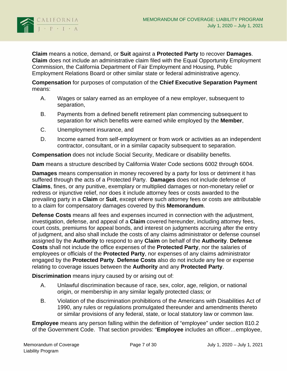

**Claim** means a notice, demand, or **Suit** against a **Protected Party** to recover **Damages**. **Claim** does not include an administrative claim filed with the Equal Opportunity Employment Commission, the California Department of Fair Employment and Housing, Public Employment Relations Board or other similar state or federal administrative agency.

**Compensation** for purposes of computation of the **Chief Executive Separation Payment**  means:

- A. Wages or salary earned as an employee of a new employer, subsequent to separation,
- B. Payments from a defined benefit retirement plan commencing subsequent to separation for which benefits were earned while employed by the **Member**,
- C. Unemployment insurance, and
- D. Income earned from self-employment or from work or activities as an independent contractor, consultant, or in a similar capacity subsequent to separation.

**Compensation** does not include Social Security, Medicare or disability benefits.

**Dam** means a structure described by California Water Code sections 6002 through 6004.

**Damages** means compensation in money recovered by a party for loss or detriment it has suffered through the acts of a Protected Party. **Damages** does not include defense of **Claims**, fines, or any punitive, exemplary or multiplied damages or non-monetary relief or redress or injunctive relief, nor does it include attorney fees or costs awarded to the prevailing party in a **Claim** or **Suit**, except where such attorney fees or costs are attributable to a claim for compensatory damages covered by this **Memorandum**.

**Defense Costs** means all fees and expenses incurred in connection with the adjustment, investigation, defense, and appeal of a **Claim** covered hereunder, including attorney fees, court costs, premiums for appeal bonds, and interest on judgments accruing after the entry of judgment, and also shall include the costs of any claims administrator or defense counsel assigned by the **Authority** to respond to any **Claim** on behalf of the **Authority**. **Defense Costs** shall not include the office expenses of the **Protected Party**, nor the salaries of employees or officials of the **Protected Party**, nor expenses of any claims administrator engaged by the **Protected Party**. **Defense Costs** also do not include any fee or expense relating to coverage issues between the **Authority** and any **Protected Party**.

**Discrimination** means injury caused by or arising out of:

- A. Unlawful discrimination because of race, sex, color, age, religion, or national origin, or membership in any similar legally protected class; or
- B. Violation of the discrimination prohibitions of the Americans with Disabilities Act of 1990, any rules or regulations promulgated thereunder and amendments thereto or similar provisions of any federal, state, or local statutory law or common law.

**Employee** means any person falling within the definition of "employee" under section 810.2 of the Government Code. That section provides: "**Employee** includes an officer…employee,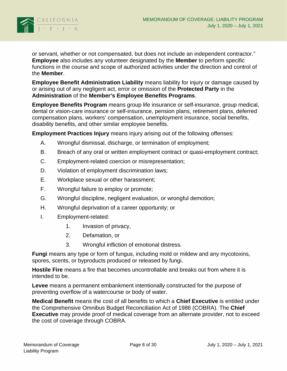

or servant, whether or not compensated, but does not include an independent contractor." **Employee** also includes any volunteer designated by the **Member** to perform specific functions in the course and scope of authorized activities under the direction and control of the **Member**.

**Employee Benefit Administration Liability** means liability for injury or damage caused by or arising out of any negligent act, error or omission of the **Protected Party** in the **Administration** of the **Member's Employee Benefits Programs**.

**Employee Benefits Program** means group life insurance or self-insurance, group medical, dental or vision-care insurance or self-insurance, pension plans, retirement plans, deferred compensation plans, workers' compensation, unemployment insurance, social benefits, disability benefits, and other similar employee benefits.

**Employment Practices Injury** means injury arising out of the following offenses:

- A. Wrongful dismissal, discharge, or termination of employment;
- B. Breach of any oral or written employment contract or quasi-employment contract;
- C. Employment-related coercion or misrepresentation;
- D. Violation of employment discrimination laws;
- E. Workplace sexual or other harassment;
- F. Wrongful failure to employ or promote;
- G. Wrongful discipline, negligent evaluation, or wrongful demotion;
- H. Wrongful deprivation of a career opportunity; or
- I. Employment-related:
	- 1. Invasion of privacy,
	- 2. Defamation, or
	- 3. Wrongful infliction of emotional distress.

**Fungi** means any type or form of fungus, including mold or mildew and any mycotoxins, spores, scents, or byproducts produced or released by fungi.

**Hostile Fire** means a fire that becomes uncontrollable and breaks out from where it is intended to be.

**Levee** means a permanent embankment intentionally constructed for the purpose of preventing overflow of a watercourse or body of water.

**Medical Benefit** means the cost of all benefits to which a **Chief Executive** is entitled under the Comprehensive Omnibus Budget Reconciliation Act of 1986 (COBRA). The **Chief Executive** may provide proof of medical coverage from an alternate provider, not to exceed the cost of coverage through COBRA.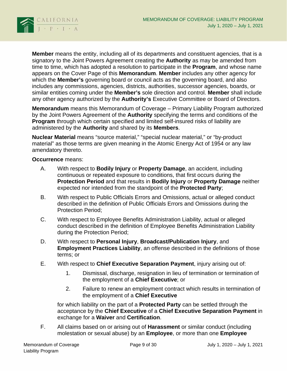

**Member** means the entity, including all of its departments and constituent agencies, that is a signatory to the Joint Powers Agreement creating the **Authority** as may be amended from time to time, which has adopted a resolution to participate in the **Program**, and whose name appears on the Cover Page of this **Memorandum**. **Member** includes any other agency for which the **Member's** governing board or council acts as the governing board, and also includes any commissions, agencies, districts, authorities, successor agencies, boards, or similar entities coming under the **Member's** sole direction and control. **Member** shall include any other agency authorized by the **Authority's** Executive Committee or Board of Directors.

**Memorandum** means this Memorandum of Coverage – Primary Liability Program authorized by the Joint Powers Agreement of the **Authority** specifying the terms and conditions of the **Program** through which certain specified and limited self-insured risks of liability are administered by the **Authority** and shared by its **Members**.

**Nuclear Material** means "source material," "special nuclear material," or "by-product material" as those terms are given meaning in the Atomic Energy Act of 1954 or any law amendatory thereto.

**Occurrence** means:

- A. With respect to **Bodily Injury** or **Property Damage**, an accident, including continuous or repeated exposure to conditions, that first occurs during the **Protection Period** and that results in **Bodily Injury** or **Property Damage** neither expected nor intended from the standpoint of the **Protected Party**;
- B. With respect to Public Officials Errors and Omissions, actual or alleged conduct described in the definition of Public Officials Errors and Omissions during the Protection Period;
- C. With respect to Employee Benefits Administration Liability, actual or alleged conduct described in the definition of Employee Benefits Administration Liability during the Protection Period;
- D. With respect to **Personal Injury**, **Broadcast/Publication Injury**, and **Employment Practices Liability**, an offense described in the definitions of those terms; or
- E. With respect to **Chief Executive Separation Payment**, injury arising out of:
	- 1. Dismissal, discharge, resignation in lieu of termination or termination of the employment of a **Chief Executive**; or
	- 2. Failure to renew an employment contract which results in termination of the employment of a **Chief Executive**

for which liability on the part of a **Protected Party** can be settled through the acceptance by the **Chief Executive** of a **Chief Executive Separation Payment** in exchange for a **Waiver** and **Certification**.

F. All claims based on or arising out of **Harassment** or similar conduct (including molestation or sexual abuse) by an **Employee**, or more than one **Employee**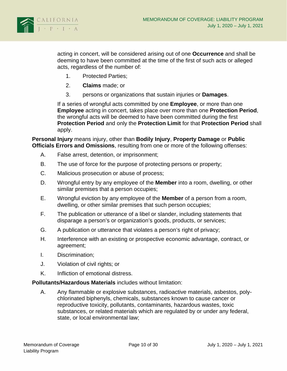

acting in concert, will be considered arising out of one **Occurrence** and shall be deeming to have been committed at the time of the first of such acts or alleged acts, regardless of the number of:

- 1. Protected Parties;
- 2. **Claims** made; or
- 3. persons or organizations that sustain injuries or **Damages**.

If a series of wrongful acts committed by one **Employee**, or more than one **Employee** acting in concert, takes place over more than one **Protection Period**, the wrongful acts will be deemed to have been committed during the first **Protection Period** and only the **Protection Limit** for that **Protection Period** shall apply.

**Personal Injury** means injury, other than **Bodily Injury**, **Property Damage** or **Public Officials Errors and Omissions**, resulting from one or more of the following offenses:

- A. False arrest, detention, or imprisonment;
- B. The use of force for the purpose of protecting persons or property;
- C. Malicious prosecution or abuse of process;
- D. Wrongful entry by any employee of the **Member** into a room, dwelling, or other similar premises that a person occupies;
- E. Wrongful eviction by any employee of the **Member** of a person from a room, dwelling, or other similar premises that such person occupies;
- F. The publication or utterance of a libel or slander, including statements that disparage a person's or organization's goods, products, or services;
- G. A publication or utterance that violates a person's right of privacy;
- H. Interference with an existing or prospective economic advantage, contract, or agreement;
- I. Discrimination;
- J. Violation of civil rights; or
- K. Infliction of emotional distress.

### **Pollutants/Hazardous Materials** includes without limitation:

A. Any flammable or explosive substances, radioactive materials, asbestos, polychlorinated biphenyls, chemicals, substances known to cause cancer or reproductive toxicity, pollutants, contaminants, hazardous wastes, toxic substances, or related materials which are regulated by or under any federal, state, or local environmental law;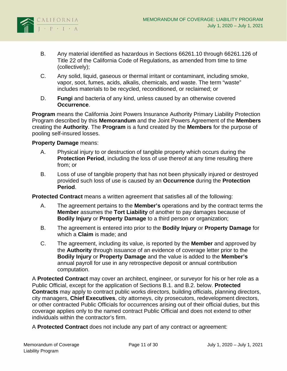

- B. Any material identified as hazardous in Sections 66261.10 through 66261.126 of Title 22 of the California Code of Regulations, as amended from time to time (collectively);
- C. Any solid, liquid, gaseous or thermal irritant or contaminant, including smoke, vapor, soot, fumes, acids, alkalis, chemicals, and waste. The term "waste" includes materials to be recycled, reconditioned, or reclaimed; or
- D. **Fungi** and bacteria of any kind, unless caused by an otherwise covered **Occurrence**.

**Program** means the California Joint Powers Insurance Authority Primary Liability Protection Program described by this **Memorandum** and the Joint Powers Agreement of the **Members** creating the **Authority**. The **Program** is a fund created by the **Members** for the purpose of pooling self-insured losses.

#### **Property Damage** means:

- A. Physical injury to or destruction of tangible property which occurs during the **Protection Period**, including the loss of use thereof at any time resulting there from; or
- B. Loss of use of tangible property that has not been physically injured or destroyed provided such loss of use is caused by an **Occurrence** during the **Protection Period**.

**Protected Contract** means a written agreement that satisfies all of the following:

- A. The agreement pertains to the **Member's** operations and by the contract terms the **Member** assumes the **Tort Liability** of another to pay damages because of **Bodily Injury** or **Property Damage** to a third person or organization;
- B. The agreement is entered into prior to the **Bodily Injury** or **Property Damage** for which a **Claim** is made; and
- C. The agreement, including its value, is reported by the **Member** and approved by the **Authority** through issuance of an evidence of coverage letter prior to the **Bodily Injury** or **Property Damage** and the value is added to the **Member's** annual payroll for use in any retrospective deposit or annual contribution computation.

A **Protected Contract** may cover an architect, engineer, or surveyor for his or her role as a Public Official, except for the application of Sections B.1. and B.2. below. **Protected Contracts** may apply to contract public works directors, building officials, planning directors, city managers, **Chief Executives**, city attorneys, city prosecutors, redevelopment directors, or other contracted Public Officials for occurrences arising out of their official duties, but this coverage applies only to the named contract Public Official and does not extend to other individuals within the contractor's firm.

A **Protected Contract** does not include any part of any contract or agreement: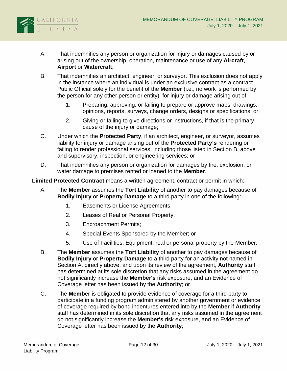

- A. That indemnifies any person or organization for injury or damages caused by or arising out of the ownership, operation, maintenance or use of any **Aircraft**, **Airport** or **Watercraft**;
- B. That indemnifies an architect, engineer, or surveyor. This exclusion does not apply in the instance where an individual is under an exclusive contract as a contract Public Official solely for the benefit of the **Member** (i.e., no work is performed by the person for any other person or entity), for injury or damage arising out of:
	- 1. Preparing, approving, or failing to prepare or approve maps, drawings, opinions, reports, surveys, change orders, designs or specifications; or
	- 2. Giving or failing to give directions or instructions, if that is the primary cause of the injury or damage;
- C. Under which the **Protected Party**, if an architect, engineer, or surveyor, assumes liability for injury or damage arising out of the **Protected Party's** rendering or failing to render professional services, including those listed in Section B. above and supervisory, inspection, or engineering services; or
- D. That indemnifies any person or organization for damages by fire, explosion, or water damage to premises rented or loaned to the **Member**.

**Limited Protected Contract** means a written agreement, contract or permit in which:

- A. The **Member** assumes the **Tort Liability** of another to pay damages because of **Bodily Injury** or **Property Damage** to a third party in one of the following:
	- 1. Easements or License Agreements;
	- 2. Leases of Real or Personal Property;
	- 3. Encroachment Permits;
	- 4. Special Events Sponsored by the Member; or
	- 5. Use of Facilities, Equipment, real or personal property by the Member;
- B. The **Member** assumes the **Tort Liability** of another to pay damages because of **Bodily Injury** or **Property Damage** to a third party for an activity not named in Section A. directly above, and upon its review of the agreement, **Authority** staff has determined at its sole discretion that any risks assumed in the agreement do not significantly increase the **Member's** risk exposure, and an Evidence of Coverage letter has been issued by the **Authority**; or
- C. The **Member** is obligated to provide evidence of coverage for a third party to participate in a funding program administered by another government or evidence of coverage required by bond indentures entered into by the **Member** if **Authority** staff has determined in its sole discretion that any risks assumed in the agreement do not significantly increase the **Member's** risk exposure, and an Evidence of Coverage letter has been issued by the **Authority**;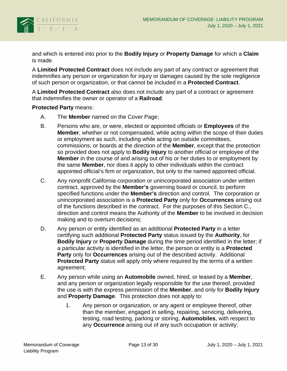

and which is entered into prior to the **Bodily Injury** or **Property Damage** for which a **Claim** is made.

A **Limited Protected Contract** does not include any part of any contract or agreement that indemnifies any person or organization for injury or damages caused by the sole negligence of such person or organization, or that cannot be included in a **Protected Contract**.

A **Limited Protected Contract** also does not include any part of a contract or agreement that indemnifies the owner or operator of a **Railroad**.

#### **Protected Party** means:

- A. The **Member** named on the Cover Page;
- B. Persons who are, or were, elected or appointed officials or **Employees** of the **Member**, whether or not compensated, while acting within the scope of their duties or employment as such, including while acting on outside committees, commissions, or boards at the direction of the **Member**, except that the protection so provided does not apply to **Bodily Injury** to another official or employee of the **Member** in the course of and arising out of his or her duties to or employment by the same **Member**, nor does it apply to other individuals within the contract appointed official's firm or organization, but only to the named appointed official.
- C. Any nonprofit California corporation or unincorporated association under written contract, approved by the **Member's** governing board or council, to perform specified functions under the **Member's** direction and control. The corporation or unincorporated association is a **Protected Party** only for **Occurrences** arising out of the functions described in the contract. For the purposes of this Section C., direction and control means the Authority of the **Member** to be involved in decision making and to overturn decisions;
- D. Any person or entity identified as an additional **Protected Party** in a letter certifying such additional **Protected Party** status issued by the **Authority**, for **Bodily Injury** or **Property Damage** during the time period identified in the letter; if a particular activity is identified in the letter, the person or entity is a **Protected Party** only for **Occurrences** arising out of the described activity. Additional **Protected Party** status will apply only where required by the terms of a written agreement;
- E. Any person while using an **Automobile** owned, hired, or leased by a **Member**, and any person or organization legally responsible for the use thereof, provided the use is with the express permission of the **Member**, and only for **Bodily Injury** and **Property Damage**. This protection does not apply to:
	- 1. Any person or organization, or any agent or employee thereof, other than the member, engaged in selling, repairing, servicing, delivering, testing, road testing, parking or storing, **Automobiles**, with respect to any **Occurrence** arising out of any such occupation or activity;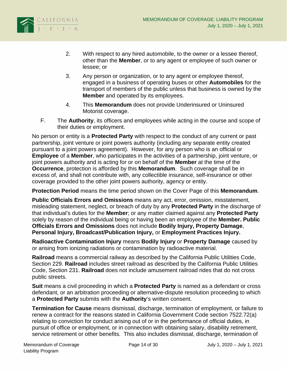

- 2. With respect to any hired automobile, to the owner or a lessee thereof, other than the **Member**, or to any agent or employee of such owner or lessee; or
- 3. Any person or organization, or to any agent or employee thereof, engaged in a business of operating buses or other **Automobiles** for the transport of members of the public unless that business is owned by the **Member** and operated by its employees.
- 4. This **Memorandum** does not provide Underinsured or Uninsured Motorist coverage.
- F. The **Authority**, its officers and employees while acting in the course and scope of their duties or employment.

No person or entity is a **Protected Party** with respect to the conduct of any current or past partnership, joint venture or joint powers authority (including any separate entity created pursuant to a joint powers agreement). However, for any person who is an official or **Employee** of a **Member**, who participates in the activities of a partnership, joint venture, or joint powers authority and is acting for or on behalf of the **Member** at the time of the **Occurrence**, protection is afforded by this **Memorandum**. Such coverage shall be in excess of, and shall not contribute with, any collectible insurance, self-insurance or other coverage provided to the other joint powers authority, agency or entity.

**Protection Period** means the time period shown on the Cover Page of this **Memorandum**.

**Public Officials Errors and Omissions** means any act, error, omission, misstatement, misleading statement, neglect, or breach of duty by any **Protected Party** in the discharge of that individual's duties for the **Member**; or any matter claimed against any **Protected Party** solely by reason of the individual being or having been an employee of the **Member. Public Officials Errors and Omissions** does not include **Bodily Injury, Property Damage**, **Personal Injury, Broadcast/Publication Injury,** or **Employment Practices Injury.**

**Radioactive Contamination Injury** means **Bodily Injury** or **Property Damage** caused by or arising from ionizing radiations or contamination by radioactive material.

**Railroad** means a commercial railway as described by the California Public Utilities Code, Section 229. **Railroad** includes street railroad as described by the California Public Utilities Code, Section 231. **Railroad** does not include amusement railroad rides that do not cross public streets.

**Suit** means a civil proceeding in which a **Protected Party** is named as a defendant or cross defendant, or an arbitration proceeding or alternative-dispute resolution proceeding to which a **Protected Party** submits with the **Authority**'s written consent.

**Termination for Cause** means dismissal, discharge, termination of employment, or failure to renew a contract for the reasons stated in California Government Code section 7522.72(a) relating to conviction for conduct arising out of or in the performance of official duties, in pursuit of office or employment, or in connection with obtaining salary, disability retirement, service retirement or other benefits. This also includes dismissal, discharge, termination of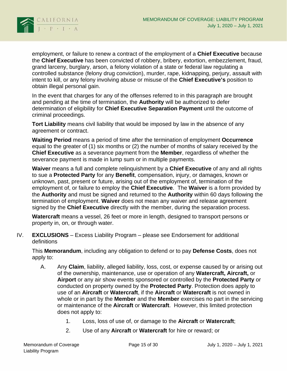

employment, or failure to renew a contract of the employment of a **Chief Executive** because the **Chief Executive** has been convicted of robbery, bribery, extortion, embezzlement, fraud, grand larceny, burglary, arson, a felony violation of a state or federal law regulating a controlled substance (felony drug conviction), murder, rape, kidnapping, perjury, assault with intent to kill, or any felony involving abuse or misuse of the **Chief Executive's** position to obtain illegal personal gain.

In the event that charges for any of the offenses referred to in this paragraph are brought and pending at the time of termination, the **Authority** will be authorized to defer determination of eligibility for **Chief Executive Separation Payment** until the outcome of criminal proceedings.

**Tort Liability** means civil liability that would be imposed by law in the absence of any agreement or contract.

**Waiting Period** means a period of time after the termination of employment **Occurrence** equal to the greater of (1) six months or (2) the number of months of salary received by the **Chief Executive** as a severance payment from the **Member**, regardless of whether the severance payment is made in lump sum or in multiple payments.

**Waiver** means a full and complete relinquishment by a **Chief Executive** of any and all rights to sue a **Protected Party** for any **Benefit**, compensation, injury, or damages, known or unknown, past, present or future, arising out of the employment of, termination of the employment of, or failure to employ the **Chief Executive**. The **Waiver** is a form provided by the **Authority** and must be signed and returned to the **Authority** within 60 days following the termination of employment. **Waiver** does not mean any waiver and release agreement signed by the **Chief Executive** directly with the member, during the separation process.

**Watercraft** means a vessel, 26 feet or more in length, designed to transport persons or property in, on, or through water.

<span id="page-17-0"></span>IV. **EXCLUSIONS** – Excess Liability Program – please see Endorsement for additional definitions

This **Memorandum**, including any obligation to defend or to pay **Defense Costs**, does not apply to:

- A. Any **Claim**, liability, alleged liability, loss, cost, or expense caused by or arising out of the ownership, maintenance, use or operation of any **Watercraft, Aircraft,** or **Airport** or any air show events sponsored or controlled by the **Protected Party** or conducted on property owned by the **Protected Party**. Protection does apply to use of an **Aircraft** or **Watercraft**, if the **Aircraft** or **Watercraft** is not owned in whole or in part by the **Member** and the **Member** exercises no part in the servicing or maintenance of the **Aircraft** or **Watercraft**. However, this limited protection does not apply to:
	- 1. Loss, loss of use of, or damage to the **Aircraft** or **Watercraft**;
	- 2. Use of any **Aircraft** or **Watercraft** for hire or reward; or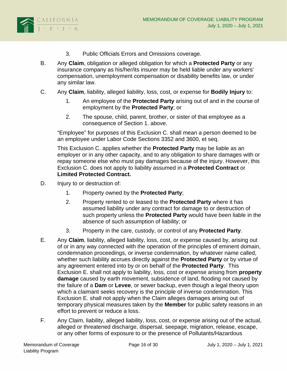

- 3. Public Officials Errors and Omissions coverage.
- B. Any **Claim**, obligation or alleged obligation for which a **Protected Party** or any insurance company as his/her/its insurer may be held liable under any workers' compensation, unemployment compensation or disability benefits law, or under any similar law.
- C. Any **Claim**, liability, alleged liability, loss, cost, or expense for **Bodily Injury** to:
	- 1. An employee of the **Protected Party** arising out of and in the course of employment by the **Protected Party**; or
	- 2. The spouse, child, parent, brother, or sister of that employee as a consequence of Section 1. above.

"Employee" for purposes of this Exclusion C. shall mean a person deemed to be an employee under Labor Code Sections 3352 and 3600, et seq.

This Exclusion C. applies whether the **Protected Party** may be liable as an employer or in any other capacity, and to any obligation to share damages with or repay someone else who must pay damages because of the injury. However, this Exclusion C. does not apply to liability assumed in a **Protected Contract** or **Limited Protected Contract.**

- D. Injury to or destruction of:
	- 1. Property owned by the **Protected Party**;
	- 2. Property rented to or leased to the **Protected Party** where it has assumed liability under any contract for damage to or destruction of such property unless the **Protected Party** would have been liable in the absence of such assumption of liability; or
	- 3. Property in the care, custody, or control of any **Protected Party**.
- E. Any **Claim**, liability, alleged liability, loss, cost, or expense caused by, arising out of or in any way connected with the operation of the principles of eminent domain, condemnation proceedings, or inverse condemnation, by whatever name called, whether such liability accrues directly against the **Protected Party** or by virtue of any agreement entered into by or on behalf of the **Protected Party**. This Exclusion E. shall not apply to liability, loss, cost or expense arising from **property damage** caused by earth movement, subsidence of land, flooding not caused by the failure of a **Dam** or **Levee**, or sewer backup, even though a legal theory upon which a claimant seeks recovery is the principle of inverse condemnation. This Exclusion E. shall not apply when the Claim alleges damages arising out of temporary physical measures taken by the **Member** for public safety reasons in an effort to prevent or reduce a loss.
- F. Any Claim, liability, alleged liability, loss, cost, or expense arising out of the actual, alleged or threatened discharge, dispersal, seepage, migration, release, escape, or any other forms of exposure to or the presence of Pollutants/Hazardous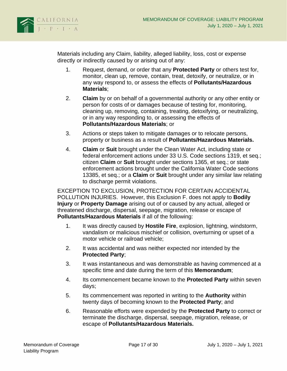

Materials including any Claim, liability, alleged liability, loss, cost or expense directly or indirectly caused by or arising out of any:

- 1. Request, demand, or order that any **Protected Party** or others test for, monitor, clean up, remove, contain, treat, detoxify, or neutralize, or in any way respond to, or assess the effects of **Pollutants/Hazardous Materials**;
- 2. **Claim** by or on behalf of a governmental authority or any other entity or person for costs of or damages because of testing for, monitoring, cleaning up, removing, containing, treating, detoxifying, or neutralizing, or in any way responding to, or assessing the effects of **Pollutants/Hazardous Materials**; or
- 3. Actions or steps taken to mitigate damages or to relocate persons, property or business as a result of **Pollutants/Hazardous Materials.**
- 4. **Claim** or **Suit** brought under the Clean Water Act, including state or federal enforcement actions under 33 U.S. Code sections 1319, et seq.; citizen **Claim** or **Suit** brought under sections 1365, et seq.; or state enforcement actions brought under the California Water Code sections 13385, et seq.; or a **Claim** or **Suit** brought under any similar law relating to discharge permit violations.

EXCEPTION TO EXCLUSION, PROTECTION FOR CERTAIN ACCIDENTAL POLLUTION INJURIES. However, this Exclusion F. does not apply to **Bodily Injury** or **Property Damage** arising out of or caused by any actual, alleged or threatened discharge, dispersal, seepage, migration, release or escape of **Pollutants/Hazardous Materials** if all of the following:

- 1. It was directly caused by **Hostile Fire**, explosion, lightning, windstorm, vandalism or malicious mischief or collision, overturning or upset of a motor vehicle or railroad vehicle;
- 2. It was accidental and was neither expected nor intended by the **Protected Party**;
- 3. It was instantaneous and was demonstrable as having commenced at a specific time and date during the term of this **Memorandum**;
- 4. Its commencement became known to the **Protected Party** within seven days;
- 5. Its commencement was reported in writing to the **Authority** within twenty days of becoming known to the **Protected Party**; and
- 6. Reasonable efforts were expended by the **Protected Party** to correct or terminate the discharge, dispersal, seepage, migration, release, or escape of **Pollutants/Hazardous Materials.**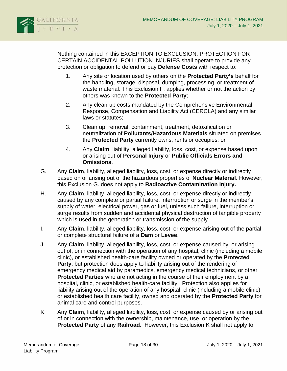

Nothing contained in this EXCEPTION TO EXCLUSION, PROTECTION FOR CERTAIN ACCIDENTAL POLLUTION INJURIES shall operate to provide any protection or obligation to defend or pay **Defense Costs** with respect to:

- 1. Any site or location used by others on the **Protected Party's** behalf for the handling, storage, disposal, dumping, processing, or treatment of waste material. This Exclusion F. applies whether or not the action by others was known to the **Protected Party**;
- 2. Any clean-up costs mandated by the Comprehensive Environmental Response, Compensation and Liability Act (CERCLA) and any similar laws or statutes;
- 3. Clean up, removal, containment, treatment, detoxification or neutralization of **Pollutants/Hazardous Materials** situated on premises the **Protected Party** currently owns, rents or occupies; or
- 4. Any **Claim**, liability, alleged liability, loss, cost, or expense based upon or arising out of **Personal Injury** or **Public Officials Errors and Omissions**.
- G. Any **Claim**, liability, alleged liability, loss, cost, or expense directly or indirectly based on or arising out of the hazardous properties of **Nuclear Material**. However, this Exclusion G. does not apply to **Radioactive Contamination Injury.**
- H. Any **Claim**, liability, alleged liability, loss, cost, or expense directly or indirectly caused by any complete or partial failure, interruption or surge in the member's supply of water, electrical power, gas or fuel, unless such failure, interruption or surge results from sudden and accidental physical destruction of tangible property which is used in the generation or transmission of the supply.
- I. Any **Claim**, liability, alleged liability, loss, cost, or expense arising out of the partial or complete structural failure of a **Dam** or **Levee**.
- J. Any **Claim**, liability, alleged liability, loss, cost, or expense caused by, or arising out of, or in connection with the operation of any hospital, clinic (including a mobile clinic), or established health-care facility owned or operated by the **Protected Party**, but protection does apply to liability arising out of the rendering of emergency medical aid by paramedics, emergency medical technicians, or other **Protected Parties** who are not acting in the course of their employment by a hospital, clinic, or established health-care facility. Protection also applies for liability arising out of the operation of any hospital, clinic (including a mobile clinic) or established health care facility, owned and operated by the **Protected Party** for animal care and control purposes.
- K. Any **Claim**, liability, alleged liability, loss, cost, or expense caused by or arising out of or in connection with the ownership, maintenance, use, or operation by the **Protected Party** of any **Railroad**. However, this Exclusion K shall not apply to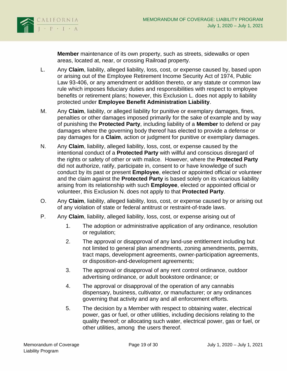

**Member** maintenance of its own property, such as streets, sidewalks or open areas, located at, near, or crossing Railroad property.

- L. Any **Claim**, liability, alleged liability, loss, cost, or expense caused by, based upon or arising out of the Employee Retirement Income Security Act of 1974, Public Law 93-406, or any amendment or addition thereto, or any statute or common law rule which imposes fiduciary duties and responsibilities with respect to employee benefits or retirement plans; however, this Exclusion L. does not apply to liability protected under **Employee Benefit Administration Liability**.
- M. Any **Claim**, liability, or alleged liability for punitive or exemplary damages, fines, penalties or other damages imposed primarily for the sake of example and by way of punishing the **Protected Party**, including liability of a **Member** to defend or pay damages where the governing body thereof has elected to provide a defense or pay damages for a **Claim**, action or judgment for punitive or exemplary damages.
- N. Any **Claim**, liability, alleged liability, loss, cost, or expense caused by the intentional conduct of a **Protected Party** with willful and conscious disregard of the rights or safety of other or with malice. However, where the **Protected Party** did not authorize, ratify, participate in, consent to or have knowledge of such conduct by its past or present **Employee**, elected or appointed official or volunteer and the claim against the **Protected Party** is based solely on its vicarious liability arising from its relationship with such **Employee**, elected or appointed official or volunteer, this Exclusion N. does not apply to that **Protected Party**.
- O. Any **Claim**, liability, alleged liability, loss, cost, or expense caused by or arising out of any violation of state or federal antitrust or restraint-of-trade laws.
- P. Any **Claim**, liability, alleged liability, loss, cost, or expense arising out of
	- 1. The adoption or administrative application of any ordinance, resolution or regulation;
	- 2. The approval or disapproval of any land-use entitlement including but not limited to general plan amendments, zoning amendments, permits, tract maps, development agreements, owner-participation agreements, or disposition-and-development agreements;
	- 3. The approval or disapproval of any rent control ordinance, outdoor advertising ordinance, or adult bookstore ordinance; or
	- 4. The approval or disapproval of the operation of any cannabis dispensary, business, cultivator, or manufacturer; or any ordinances governing that activity and any and all enforcement efforts.
	- 5. The decision by a Member with respect to obtaining water, electrical power, gas or fuel, or other utilities, including decisions relating to the quality thereof; or allocating such water, electrical power, gas or fuel, or other utilities, among the users thereof.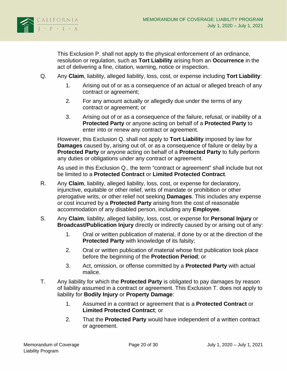

This Exclusion P. shall not apply to the physical enforcement of an ordinance, resolution or regulation, such as **Tort Liability** arising from an **Occurrence** in the act of delivering a fine, citation, warning, notice or inspection.

- Q. Any **Claim**, liability, alleged liability, loss, cost, or expense including **Tort Liability**:
	- 1. Arising out of or as a consequence of an actual or alleged breach of any contract or agreement;
	- 2. For any amount actually or allegedly due under the terms of any contract or agreement; or
	- 3. Arising out of or as a consequence of the failure, refusal, or inability of a **Protected Party** or anyone acting on behalf of a **Protected Party** to enter into or renew any contract or agreement.

However, this Exclusion Q. shall not apply to **Tort Liability** imposed by law for **Damages** caused by, arising out of, or as a consequence of failure or delay by a **Protected Party** or anyone acting on behalf of a **Protected Party** to fully perform any duties or obligations under any contract or agreement.

As used in this Exclusion Q., the term "contract or agreement" shall include but not be limited to a **Protected Contract** or **Limited Protected Contract**.

- R. Any **Claim**, liability, alleged liability, loss, cost, or expense for declaratory, injunctive, equitable or other relief, writs of mandate or prohibition or other prerogative writs, or other relief not seeking **Damages**. This includes any expense or cost incurred by a **Protected Party** arising from the cost of reasonable accommodation of any disabled person, including any **Employee**.
- S. Any **Claim**, liability, alleged liability, loss, cost, or expense for **Personal Injury** or **Broadcast/Publication Injury** directly or indirectly caused by or arising out of any:
	- 1. Oral or written publication of material, if done by or at the direction of the **Protected Party** with knowledge of its falsity;
	- 2. Oral or written publication of material whose first publication took place before the beginning of the **Protection Period**; or
	- 3. Act, omission, or offense committed by a **Protected Party** with actual malice.
- T. Any liability for which the **Protected Party** is obligated to pay damages by reason of liability assumed in a contract or agreement. This Exclusion T. does not apply to liability for **Bodily Injury** or **Property Damage**:
	- 1. Assumed in a contract or agreement that is a **Protected Contract** or **Limited Protected Contract**; or
	- 2. That the **Protected Party** would have independent of a written contract or agreement.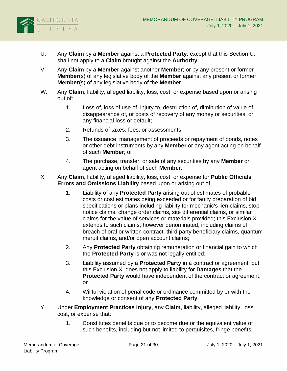

- U. Any **Claim** by a **Member** against a **Protected Party**, except that this Section U. shall not apply to a **Claim** brought against the **Authority**.
- V. Any **Claim** by a **Member** against another **Member**; or by any present or former **Member**(s) of any legislative body of the **Member** against any present or former **Member**(s) of any legislative body of the **Member**.
- W. Any **Claim**, liability, alleged liability, loss, cost, or expense based upon or arising out of:
	- 1. Loss of, loss of use of, injury to, destruction of, diminution of value of, disappearance of, or costs of recovery of any money or securities, or any financial loss or default;
	- 2. Refunds of taxes, fees, or assessments;
	- 3. The issuance, management of proceeds or repayment of bonds, notes or other debt instruments by any **Member** or any agent acting on behalf of such **Member**; or
	- 4. The purchase, transfer, or sale of any securities by any **Member** or agent acting on behalf of such **Member**.
- X. Any **Claim**, liability, alleged liability, loss, cost, or expense for **Public Officials Errors and Omissions Liability** based upon or arising out of:
	- 1. Liability of any **Protected Party** arising out of estimates of probable costs or cost estimates being exceeded or for faulty preparation of bid specifications or plans including liability for mechanic's lien claims, stop notice claims, change order claims, site differential claims, or similar claims for the value of services or materials provided; this Exclusion X. extends to such claims, however denominated, including claims of breach of oral or written contract, third party beneficiary claims, quantum meruit claims, and/or open account claims;
	- 2. Any **Protected Party** obtaining remuneration or financial gain to which the **Protected Party** is or was not legally entitled;
	- 3. Liability assumed by a **Protected Party** in a contract or agreement, but this Exclusion X. does not apply to liability for **Damages** that the **Protected Party** would have independent of the contract or agreement; or
	- 4. Willful violation of penal code or ordinance committed by or with the knowledge or consent of any **Protected Party**.
- Y. Under **Employment Practices Injury**, any **Claim**, liability, alleged liability, loss, cost, or expense that:
	- 1. Constitutes benefits due or to become due or the equivalent value of such benefits, including but not limited to perquisites, fringe benefits,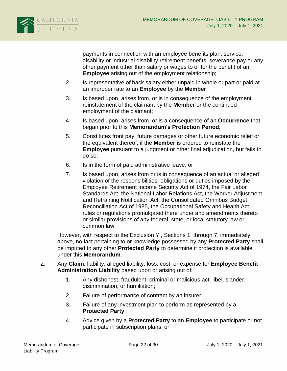

payments in connection with an employee benefits plan, service, disability or industrial disability retirement benefits, severance pay or any other payment other than salary or wages to or for the benefit of an **Employee** arising out of the employment relationship;

- 2. Is representative of back salary either unpaid in whole or part or paid at an improper rate to an **Employee** by the **Member**;
- 3. Is based upon, arises from, or is in consequence of the employment reinstatement of the claimant by the **Member** or the continued employment of the claimant;
- 4. Is based upon, arises from, or is a consequence of an **Occurrence** that began prior to this **Memorandum's Protection Period**;
- 5. Constitutes front pay, future damages or other future economic relief or the equivalent thereof, if the **Member** is ordered to reinstate the **Employee** pursuant to a judgment or other final adjudication, but fails to do so;
- 6. Is in the form of paid administrative leave; or
- 7. Is based upon, arises from or is in consequence of an actual or alleged violation of the responsibilities, obligations or duties imposed by the Employee Retirement Income Security Act of 1974, the Fair Labor Standards Act, the National Labor Relations Act, the Worker Adjustment and Retraining Notification Act, the Consolidated Omnibus Budget Reconciliation Act of 1985, the Occupational Safety and Health Act, rules or regulations promulgated there under and amendments thereto or similar provisions of any federal, state, or local statutory law or common law.

However, with respect to the Exclusion Y., Sections 1. through 7. immediately above, no fact pertaining to or knowledge possessed by any **Protected Party** shall be imputed to any other **Protected Party** to determine if protection is available under this **Memorandum**.

- Z. Any **Claim**, liability, alleged liability, loss, cost, or expense for **Employee Benefit Administration Liability** based upon or arising out of:
	- 1. Any dishonest, fraudulent, criminal or malicious act, libel, slander, discrimination, or humiliation;
	- 2. Failure of performance of contract by an insurer;
	- 3. Failure of any investment plan to perform as represented by a **Protected Party**;
	- 4. Advice given by a **Protected Party** to an **Employee** to participate or not participate in subscription plans; or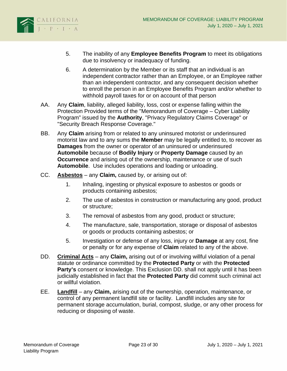

- 5. The inability of any **Employee Benefits Program** to meet its obligations due to insolvency or inadequacy of funding.
- 6. A determination by the Member or its staff that an individual is an independent contractor rather than an Employee, or an Employee rather than an independent contractor, and any consequent decision whether to enroll the person in an Employee Benefits Program and/or whether to withhold payroll taxes for or on account of that person
- AA. Any **Claim**, liability, alleged liability, loss, cost or expense falling within the Protection Provided terms of the "Memorandum of Coverage – Cyber Liability Program" issued by the **Authority**, "Privacy Regulatory Claims Coverage" or "Security Breach Response Coverage."
- BB. Any **Claim** arising from or related to any uninsured motorist or underinsured motorist law and to any sums the **Member** may be legally entitled to, to recover as **Damages** from the owner or operator of an uninsured or underinsured **Automobile** because of **Bodily Injury** or **Property Damage** caused by an **Occurrence** and arising out of the ownership, maintenance or use of such **Automobile**. Use includes operations and loading or unloading.
- CC. **Asbestos** any **Claim,** caused by, or arising out of:
	- 1. Inhaling, ingesting or physical exposure to asbestos or goods or products containing asbestos;
	- 2. The use of asbestos in construction or manufacturing any good, product or structure;
	- 3. The removal of asbestos from any good, product or structure;
	- 4. The manufacture, sale, transportation, storage or disposal of asbestos or goods or products containing asbestos; or
	- 5. Investigation or defense of any loss, injury or **Damage** at any cost, fine or penalty or for any expense of **Claim** related to any of the above.
- DD. **Criminal Acts** any **Claim,** arising out of or involving willful violation of a penal statute or ordinance committed by the **Protected Party** or with the **Protected Party's** consent or knowledge. This Exclusion DD. shall not apply until it has been judicially established in fact that the **Protected Party** did commit such criminal act or willful violation.
- EE. **Landfill** any **Claim,** arising out of the ownership, operation, maintenance, or control of any permanent landfill site or facility. Landfill includes any site for permanent storage accumulation, burial, compost, sludge, or any other process for reducing or disposing of waste.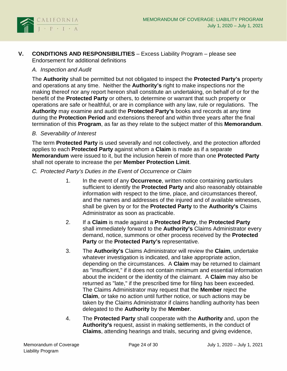

<span id="page-26-0"></span>**V. CONDITIONS AND RESPONSIBILITIES** – Excess Liability Program – please see Endorsement for additional definitions

#### <span id="page-26-1"></span>*A. Inspection and Audit*

The **Authority** shall be permitted but not obligated to inspect the **Protected Party's** property and operations at any time. Neither the **Authority's** right to make inspections nor the making thereof nor any report hereon shall constitute an undertaking, on behalf of or for the benefit of the **Protected Party** or others, to determine or warrant that such property or operations are safe or healthful, or are in compliance with any law, rule or regulations. The **Authority** may examine and audit the **Protected Party's** books and records at any time during the **Protection Period** and extensions thereof and within three years after the final termination of this **Program**, as far as they relate to the subject matter of this **Memorandum**.

#### <span id="page-26-2"></span>*B. Severability of Interest*

The term **Protected Party** is used severally and not collectively, and the protection afforded applies to each **Protected Party** against whom a **Claim** is made as if a separate **Memorandum** were issued to it, but the inclusion herein of more than one **Protected Party** shall not operate to increase the per **Member Protection Limit**.

- <span id="page-26-3"></span>*C. Protected Party's Duties in the Event of Occurrence or Claim*
	- 1. In the event of any **Occurrence**, written notice containing particulars sufficient to identify the **Protected Party** and also reasonably obtainable information with respect to the time, place, and circumstances thereof, and the names and addresses of the injured and of available witnesses, shall be given by or for the **Protected Party** to the **Authority's** Claims Administrator as soon as practicable.
	- 2. If a **Claim** is made against a **Protected Party**, the **Protected Party** shall immediately forward to the **Authority's** Claims Administrator every demand, notice, summons or other process received by the **Protected Party** or the **Protected Party's** representative.
	- 3. The **Authority's** Claims Administrator will review the **Claim**, undertake whatever investigation is indicated, and take appropriate action, depending on the circumstances. A **Claim** may be returned to claimant as "insufficient," if it does not contain minimum and essential information about the incident or the identity of the claimant. A **Claim** may also be returned as "late," if the prescribed time for filing has been exceeded. The Claims Administrator may request that the **Member** reject the **Claim**, or take no action until further notice, or such actions may be taken by the Claims Administrator if claims handling authority has been delegated to the **Authority** by the **Member**.
	- 4. The **Protected Party** shall cooperate with the **Authority** and, upon the **Authority's** request, assist in making settlements, in the conduct of **Claims**, attending hearings and trials, securing and giving evidence,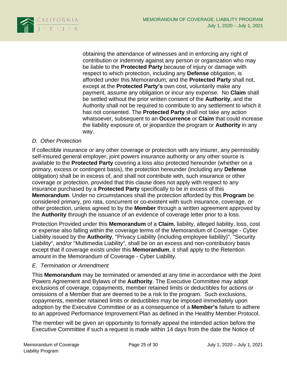

obtaining the attendance of witnesses and in enforcing any right of contribution or indemnity against any person or organization who may be liable to the **Protected Party** because of injury or damage with respect to which protection, including any **Defense** obligation, is afforded under this Memorandum; and the **Protected Party** shall not, except at the **Protected Party's** own cost, voluntarily make any payment, assume any obligation or incur any expense. No **Claim** shall be settled without the prior written consent of the **Authority**, and the Authority shall not be required to contribute to any settlement to which it has not consented. The **Protected Party** shall not take any action whatsoever, subsequent to an **Occurrence** or **Claim** that could increase the liability exposure of, or jeopardize the program or **Authority** in any way.

### <span id="page-27-0"></span>*D. Other Protection*

If collectible insurance or any other coverage or protection with any insurer, any permissibly self-insured general employer, joint powers insurance authority or any other source is available to the **Protected Party** covering a loss also protected hereunder (whether on a primary, excess or contingent basis), the protection hereunder (including any **Defense** obligation) shall be in excess of, and shall not contribute with, such insurance or other coverage or protection, provided that this clause does not apply with respect to any insurance purchased by a **Protected Party** specifically to be in excess of this **Memorandum**. Under no circumstances shall the protection afforded by this **Program** be considered primary, pro rata, concurrent or co-existent with such insurance, coverage, or other protection, unless agreed to by the **Member** through a written agreement approved by the **Authority** through the issuance of an evidence of coverage letter prior to a loss.

Protection Provided under this **Memorandum** of a **Claim**, liability, alleged liability, loss, cost or expense also falling within the coverage terms of the Memorandum of Coverage - Cyber Liability issued by the **Authority**, "Privacy Liability (including employee liability)", "Security Liability", and/or "Multimedia Liability", shall be on an excess and non-contributory basis except that if coverage exists under this **Memorandum**, it shall apply to the Retention amount in the Memorandum of Coverage - Cyber Liability.

### <span id="page-27-1"></span>*E. Termination or Amendment*

This **Memorandum** may be terminated or amended at any time in accordance with the Joint Powers Agreement and Bylaws of the **Authority**. The Executive Committee may adopt exclusions of coverage, copayments, member retained limits or deductibles for actions or omissions of a Member that are deemed to be a risk to the program. Such exclusions, copayments, member retained limits or deductibles may be imposed immediately upon adoption by the Executive Committee or as a consequence of a **Member's** failure to adhere to an approved Performance Improvement Plan as defined in the Healthy Member Protocol.

The member will be given an opportunity to formally appeal the intended action before the Executive Committee if such a request is made within 14 days from the date the Notice of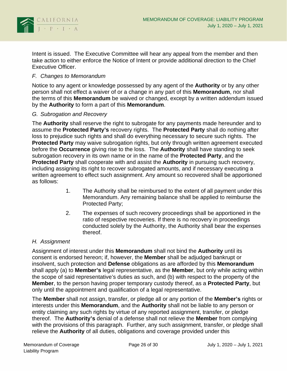

Intent is issued. The Executive Committee will hear any appeal from the member and then take action to either enforce the Notice of Intent or provide additional direction to the Chief Executive Officer.

#### <span id="page-28-0"></span>*F. Changes to Memorandum*

Notice to any agent or knowledge possessed by any agent of the **Authority** or by any other person shall not effect a waiver of or a change in any part of this **Memorandum**, nor shall the terms of this **Memorandum** be waived or changed, except by a written addendum issued by the **Authority** to form a part of this **Memorandum**.

#### <span id="page-28-1"></span>*G. Subrogation and Recovery*

The **Authority** shall reserve the right to subrogate for any payments made hereunder and to assume the **Protected Party's** recovery rights. The **Protected Party** shall do nothing after loss to prejudice such rights and shall do everything necessary to secure such rights. The **Protected Party** may waive subrogation rights, but only through written agreement executed before the **Occurrence** giving rise to the loss. The **Authority** shall have standing to seek subrogation recovery in its own name or in the name of the **Protected Party**, and the **Protected Party** shall cooperate with and assist the **Authority** in pursuing such recovery, including assigning its right to recover subrogated amounts, and if necessary executing a written agreement to effect such assignment. Any amount so recovered shall be apportioned as follows:

- 1. The Authority shall be reimbursed to the extent of all payment under this Memorandum. Any remaining balance shall be applied to reimburse the Protected Party;
- 2. The expenses of such recovery proceedings shall be apportioned in the ratio of respective recoveries. If there is no recovery in proceedings conducted solely by the Authority, the Authority shall bear the expenses thereof.

### <span id="page-28-2"></span>*H. Assignment*

Assignment of interest under this **Memorandum** shall not bind the **Authority** until its consent is endorsed hereon; if, however, the **Member** shall be adjudged bankrupt or insolvent, such protection and **Defense** obligations as are afforded by this **Memorandum** shall apply (a) to **Member's** legal representative, as the **Member**, but only while acting within the scope of said representative's duties as such, and (b) with respect to the property of the **Member**, to the person having proper temporary custody thereof, as a **Protected Party**, but only until the appointment and qualification of a legal representative.

The **Member** shall not assign, transfer, or pledge all or any portion of the **Member's** rights or interests under this **Memorandum**, and the **Authority** shall not be liable to any person or entity claiming any such rights by virtue of any reported assignment, transfer, or pledge thereof. The **Authority's** denial of a defense shall not relieve the **Member** from complying with the provisions of this paragraph. Further, any such assignment, transfer, or pledge shall relieve the **Authority** of all duties, obligations and coverage provided under this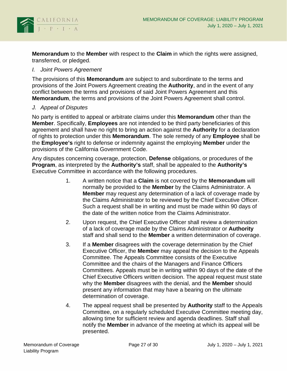

**Memorandum** to the **Member** with respect to the **Claim** in which the rights were assigned, transferred, or pledged.

#### <span id="page-29-0"></span>*I. Joint Powers Agreement*

The provisions of this **Memorandum** are subject to and subordinate to the terms and provisions of the Joint Powers Agreement creating the **Authority**, and in the event of any conflict between the terms and provisions of said Joint Powers Agreement and this **Memorandum**, the terms and provisions of the Joint Powers Agreement shall control.

#### <span id="page-29-1"></span>*J. Appeal of Disputes*

No party is entitled to appeal or arbitrate claims under this **Memorandum** other than the **Member**. Specifically, **Employees** are not intended to be third party beneficiaries of this agreement and shall have no right to bring an action against the **Authority** for a declaration of rights to protection under this **Memorandum**. The sole remedy of any **Employee** shall be the **Employee's** right to defense or indemnity against the employing **Member** under the provisions of the California Government Code.

Any disputes concerning coverage, protection, **Defense** obligations, or procedures of the **Program**, as interpreted by the **Authority's** staff, shall be appealed to the **Authority's** Executive Committee in accordance with the following procedures.

- 1. A written notice that a **Claim** is not covered by the **Memorandum** will normally be provided to the **Member** by the Claims Administrator. A **Member** may request any determination of a lack of coverage made by the Claims Administrator to be reviewed by the Chief Executive Officer. Such a request shall be in writing and must be made within 90 days of the date of the written notice from the Claims Administrator.
- 2. Upon request, the Chief Executive Officer shall review a determination of a lack of coverage made by the Claims Administrator or **Authority** staff and shall send to the **Member** a written determination of coverage.
- 3. If a **Member** disagrees with the coverage determination by the Chief Executive Officer, the **Member** may appeal the decision to the Appeals Committee. The Appeals Committee consists of the Executive Committee and the chairs of the Managers and Finance Officers Committees. Appeals must be in writing within 90 days of the date of the Chief Executive Officers written decision. The appeal request must state why the **Member** disagrees with the denial, and the **Member** should present any information that may have a bearing on the ultimate determination of coverage.
- 4. The appeal request shall be presented by **Authority** staff to the Appeals Committee, on a regularly scheduled Executive Committee meeting day, allowing time for sufficient review and agenda deadlines. Staff shall notify the **Member** in advance of the meeting at which its appeal will be presented.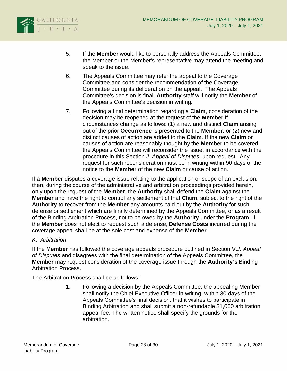

- 5. If the **Member** would like to personally address the Appeals Committee, the Member or the Member's representative may attend the meeting and speak to the issue.
- 6. The Appeals Committee may refer the appeal to the Coverage Committee and consider the recommendation of the Coverage Committee during its deliberation on the appeal. The Appeals Committee's decision is final. **Authority** staff will notify the **Member** of the Appeals Committee's decision in writing.
- 7. Following a final determination regarding a **Claim**, consideration of the decision may be reopened at the request of the **Member** if circumstances change as follows: (1) a new and distinct **Claim** arising out of the prior **Occurrence** is presented to the **Member**, or (2) new and distinct causes of action are added to the **Claim**. If the new **Claim** or causes of action are reasonably thought by the **Member** to be covered, the Appeals Committee will reconsider the issue, in accordance with the procedure in this Section *J. Appeal of Disputes*, upon request. Any request for such reconsideration must be in writing within 90 days of the notice to the **Member** of the new **Claim** or cause of action.

If a **Member** disputes a coverage issue relating to the application or scope of an exclusion, then, during the course of the administrative and arbitration proceedings provided herein, only upon the request of the **Member**, the **Authority** shall defend the **Claim** against the **Member** and have the right to control any settlement of that **Claim**, subject to the right of the **Authority** to recover from the **Member** any amounts paid out by the **Authority** for such defense or settlement which are finally determined by the Appeals Committee, or as a result of the Binding Arbitration Process, not to be owed by the **Authority** under the **Program**. If the **Member** does not elect to request such a defense, **Defense Costs** incurred during the coverage appeal shall be at the sole cost and expense of the **Member**.

## <span id="page-30-0"></span>*K. Arbitration*

If the **Member** has followed the coverage appeals procedure outlined in Section V.*J. Appeal of Disputes* and disagrees with the final determination of the Appeals Committee, the **Member** may request consideration of the coverage issue through the **Authority's** Binding Arbitration Process.

The Arbitration Process shall be as follows:

1. Following a decision by the Appeals Committee, the appealing Member shall notify the Chief Executive Officer in writing, within 30 days of the Appeals Committee's final decision, that it wishes to participate in Binding Arbitration and shall submit a non-refundable \$1,000 arbitration appeal fee. The written notice shall specify the grounds for the arbitration.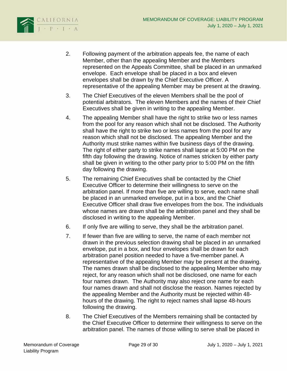

- 2. Following payment of the arbitration appeals fee, the name of each Member, other than the appealing Member and the Members represented on the Appeals Committee, shall be placed in an unmarked envelope. Each envelope shall be placed in a box and eleven envelopes shall be drawn by the Chief Executive Officer. A representative of the appealing Member may be present at the drawing.
- 3. The Chief Executives of the eleven Members shall be the pool of potential arbitrators. The eleven Members and the names of their Chief Executives shall be given in writing to the appealing Member.
- 4. The appealing Member shall have the right to strike two or less names from the pool for any reason which shall not be disclosed. The Authority shall have the right to strike two or less names from the pool for any reason which shall not be disclosed. The appealing Member and the Authority must strike names within five business days of the drawing. The right of either party to strike names shall lapse at 5:00 PM on the fifth day following the drawing. Notice of names stricken by either party shall be given in writing to the other party prior to 5:00 PM on the fifth day following the drawing.
- 5. The remaining Chief Executives shall be contacted by the Chief Executive Officer to determine their willingness to serve on the arbitration panel. If more than five are willing to serve, each name shall be placed in an unmarked envelope, put in a box, and the Chief Executive Officer shall draw five envelopes from the box. The individuals whose names are drawn shall be the arbitration panel and they shall be disclosed in writing to the appealing Member.
- 6. If only five are willing to serve, they shall be the arbitration panel.
- 7. If fewer than five are willing to serve, the name of each member not drawn in the previous selection drawing shall be placed in an unmarked envelope, put in a box, and four envelopes shall be drawn for each arbitration panel position needed to have a five-member panel. A representative of the appealing Member may be present at the drawing. The names drawn shall be disclosed to the appealing Member who may reject, for any reason which shall not be disclosed, one name for each four names drawn. The Authority may also reject one name for each four names drawn and shall not disclose the reason. Names rejected by the appealing Member and the Authority must be rejected within 48 hours of the drawing. The right to reject names shall lapse 48-hours following the drawing.
- 8. The Chief Executives of the Members remaining shall be contacted by the Chief Executive Officer to determine their willingness to serve on the arbitration panel. The names of those willing to serve shall be placed in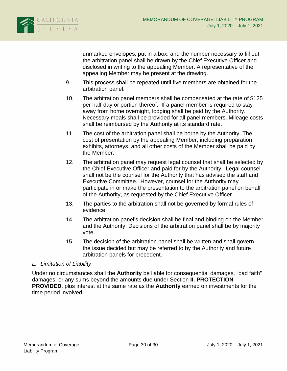

unmarked envelopes, put in a box, and the number necessary to fill out the arbitration panel shall be drawn by the Chief Executive Officer and disclosed in writing to the appealing Member. A representative of the appealing Member may be present at the drawing.

- 9. This process shall be repeated until five members are obtained for the arbitration panel.
- 10. The arbitration panel members shall be compensated at the rate of \$125 per half-day or portion thereof. If a panel member is required to stay away from home overnight, lodging shall be paid by the Authority. Necessary meals shall be provided for all panel members. Mileage costs shall be reimbursed by the Authority at its standard rate.
- 11. The cost of the arbitration panel shall be borne by the Authority. The cost of presentation by the appealing Member, including preparation, exhibits, attorneys, and all other costs of the Member shall be paid by the Member.
- 12. The arbitration panel may request legal counsel that shall be selected by the Chief Executive Officer and paid for by the Authority. Legal counsel shall not be the counsel for the Authority that has advised the staff and Executive Committee. However, counsel for the Authority may participate in or make the presentation to the arbitration panel on behalf of the Authority, as requested by the Chief Executive Officer.
- 13. The parties to the arbitration shall not be governed by formal rules of evidence.
- 14. The arbitration panel's decision shall be final and binding on the Member and the Authority. Decisions of the arbitration panel shall be by majority vote.
- 15. The decision of the arbitration panel shall be written and shall govern the issue decided but may be referred to by the Authority and future arbitration panels for precedent.

### <span id="page-32-0"></span>*L. Limitation of Liability*

Under no circumstances shall the **Authority** be liable for consequential damages, "bad faith" damages, or any sums beyond the amounts due under Section **II. PROTECTION PROVIDED**, plus interest at the same rate as the **Authority** earned on investments for the time period involved.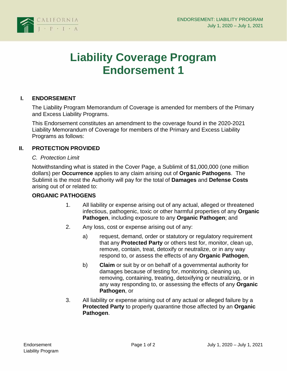

# **Liability Coverage Program Endorsement 1**

### **I. ENDORSEMENT**

The Liability Program Memorandum of Coverage is amended for members of the Primary and Excess Liability Programs.

This Endorsement constitutes an amendment to the coverage found in the 2020-2021 Liability Memorandum of Coverage for members of the Primary and Excess Liability Programs as follows:

#### **II. PROTECTION PROVIDED**

#### *C. Protection Limit*

Notwithstanding what is stated in the Cover Page, a Sublimit of \$1,000,000 (one million dollars) per **Occurrence** applies to any claim arising out of **Organic Pathogens**. The Sublimit is the most the Authority will pay for the total of **Damages** and **Defense Costs**  arising out of or related to:

### **ORGANIC PATHOGENS**

- 1. All liability or expense arising out of any actual, alleged or threatened infectious, pathogenic, toxic or other harmful properties of any **Organic Pathogen**, including exposure to any **Organic Pathogen**; and
- 2. Any loss, cost or expense arising out of any:
	- a) request, demand, order or statutory or regulatory requirement that any **Protected Party** or others test for, monitor, clean up, remove, contain, treat, detoxify or neutralize, or in any way respond to, or assess the effects of any **Organic Pathogen**,
	- b) **Claim** or suit by or on behalf of a governmental authority for damages because of testing for, monitoring, cleaning up, removing, containing, treating, detoxifying or neutralizing, or in any way responding to, or assessing the effects of any **Organic Pathogen**, or
- 3. All liability or expense arising out of any actual or alleged failure by a **Protected Party** to properly quarantine those affected by an **Organic Pathogen**.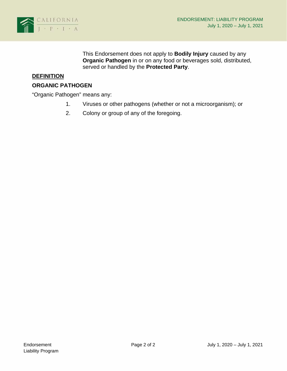

This Endorsement does not apply to **Bodily Injury** caused by any **Organic Pathogen** in or on any food or beverages sold, distributed, served or handled by the **Protected Party**.

## **DEFINITION**

#### **ORGANIC PATHOGEN**

"Organic Pathogen" means any:

- 1. Viruses or other pathogens (whether or not a microorganism); or
- 2. Colony or group of any of the foregoing.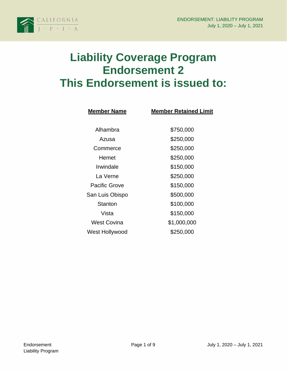

# **Liability Coverage Program Endorsement 2 This Endorsement is issued to:**

| <b>Member Name</b> | <b>Member Retained Limit</b> |  |
|--------------------|------------------------------|--|
|                    |                              |  |
| Alhambra           | \$750,000                    |  |
| Azusa              | \$250,000                    |  |
| Commerce           | \$250,000                    |  |
| Hemet              | \$250,000                    |  |
| Irwindale          | \$150,000                    |  |
| I a Verne          | \$250,000                    |  |
| Pacific Grove      | \$150,000                    |  |
| San Luis Obispo    | \$500,000                    |  |
| Stanton            | \$100,000                    |  |
| Vista              | \$150,000                    |  |
| <b>West Covina</b> | \$1,000,000                  |  |
| West Hollywood     | \$250,000                    |  |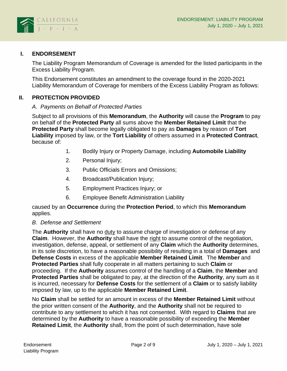

## **I. ENDORSEMENT**

The Liability Program Memorandum of Coverage is amended for the listed participants in the Excess Liability Program.

This Endorsement constitutes an amendment to the coverage found in the 2020-2021 Liability Memorandum of Coverage for members of the Excess Liability Program as follows:

## **II. PROTECTION PROVIDED**

#### *A. Payments on Behalf of Protected Parties*

Subject to all provisions of this **Memorandum**, the **Authority** will cause the **Program** to pay on behalf of the **Protected Party** all sums above the **Member Retained Limit** that the **Protected Party** shall become legally obligated to pay as **Damages** by reason of **Tort Liability** imposed by law, or the **Tort Liability** of others assumed in a **Protected Contract**, because of:

- 1. Bodily Injury or Property Damage, including **Automobile Liability**
- 2. Personal Injury;
- 3. Public Officials Errors and Omissions;
- 4. Broadcast/Publication Injury;
- 5. Employment Practices Injury; or
- 6. Employee Benefit Administration Liability

caused by an **Occurrence** during the **Protection Period**, to which this **Memorandum** applies.

### *B. Defense and Settlement*

The **Authority** shall have no duty to assume charge of investigation or defense of any **Claim**. However, the **Authority** shall have the right to assume control of the negotiation, investigation, defense, appeal, or settlement of any **Claim** which the **Authority** determines, in its sole discretion, to have a reasonable possibility of resulting in a total of **Damages** and **Defense Costs** in excess of the applicable **Member Retained Limit**. The **Member** and **Protected Parties** shall fully cooperate in all matters pertaining to such **Claim** or proceeding. If the **Authority** assumes control of the handling of a **Claim**, the **Member** and **Protected Parties** shall be obligated to pay, at the direction of the **Authority**, any sum as it is incurred, necessary for **Defense Costs** for the settlement of a **Claim** or to satisfy liability imposed by law, up to the applicable **Member Retained Limit**.

No **Claim** shall be settled for an amount in excess of the **Member Retained Limit** without the prior written consent of the **Authority**, and the **Authority** shall not be required to contribute to any settlement to which it has not consented. With regard to **Claims** that are determined by the **Authority** to have a reasonable possibility of exceeding the **Member Retained Limit**, the **Authority** shall, from the point of such determination, have sole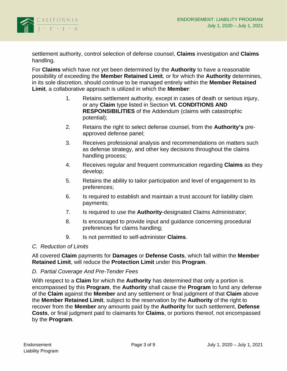

settlement authority, control selection of defense counsel, **Claims** investigation and **Claims** handling.

For **Claims** which have not yet been determined by the **Authority** to have a reasonable possibility of exceeding the **Member Retained Limit**, or for which the **Authority** determines, in its sole discretion, should continue to be managed entirely within the **Member Retained Limit**, a collaborative approach is utilized in which the **Member**:

- 1. Retains settlement authority, except in cases of death or serious injury, or any **Claim** type listed in Section **VI. CONDITIONS AND RESPONSIBILITIES** of the Addendum (claims with catastrophic potential);
- 2. Retains the right to select defense counsel, from the **Authority's** preapproved defense panel;
- 3. Receives professional analysis and recommendations on matters such as defense strategy, and other key decisions throughout the claims handling process;
- 4. Receives regular and frequent communication regarding **Claims** as they develop;
- 5. Retains the ability to tailor participation and level of engagement to its preferences;
- 6. Is required to establish and maintain a trust account for liability claim payments;
- 7. Is required to use the **Authority**-designated Claims Administrator;
- 8. Is encouraged to provide input and guidance concerning procedural preferences for claims handling;
- 9. Is not permitted to self-administer **Claims**.

### *C. Reduction of Limits*

All covered **Claim** payments for **Damages** or **Defense Costs**, which fall within the **Member Retained Limit**, will reduce the **Protection Limit** under this **Program**.

### *D. Partial Coverage And Pre-Tender Fees*

With respect to a **Claim** for which the **Authority** has determined that only a portion is encompassed by this **Program**, the **Authority** shall cause the **Program** to fund any defense of the **Claim** against the **Member** and any settlement or final judgment of that **Claim** above the **Member Retained Limit**, subject to the reservation by the **Authority** of the right to recover from the **Member** any amounts paid by the **Authority** for such settlement, **Defense Costs**, or final judgment paid to claimants for **Claims**, or portions thereof, not encompassed by the **Program**.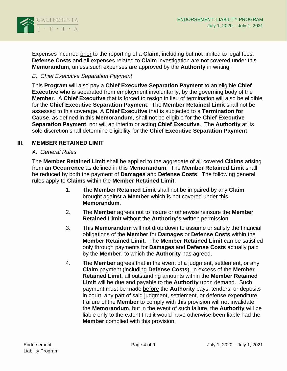

Expenses incurred prior to the reporting of a **Claim**, including but not limited to legal fees, **Defense Costs** and all expenses related to **Claim** investigation are not covered under this **Memorandum**, unless such expenses are approved by the **Authority** in writing.

## *E. Chief Executive Separation Payment*

This **Program** will also pay a **Chief Executive Separation Payment** to an eligible **Chief Executive** who is separated from employment involuntarily, by the governing body of the **Member**. A **Chief Executive** that is forced to resign in lieu of termination will also be eligible for the **Chief Executive Separation Payment**. The **Member Retained Limit** shall not be assessed to this coverage. A **Chief Executive** that is subjected to a **Termination for Cause**, as defined in this **Memorandum**, shall not be eligible for the **Chief Executive Separation Payment**, nor will an interim or acting **Chief Executive**. The **Authority** at its sole discretion shall determine eligibility for the **Chief Executive Separation Payment**.

### **III. MEMBER RETAINED LIMIT**

#### *A. General Rules*

The **Member Retained Limit** shall be applied to the aggregate of all covered **Claims** arising from an **Occurrence** as defined in this **Memorandum**. The **Member Retained Limit** shall be reduced by both the payment of **Damages** and **Defense Costs**. The following general rules apply to **Claims** within the **Member Retained Limit**:

- 1. The **Member Retained Limit** shall not be impaired by any **Claim** brought against a **Member** which is not covered under this **Memorandum**.
- 2. The **Member** agrees not to insure or otherwise reinsure the **Member Retained Limit** without the **Authority's** written permission.
- 3. This **Memorandum** will not drop down to assume or satisfy the financial obligations of the **Member** for **Damages** or **Defense Costs** within the **Member Retained Limit**. The **Member Retained Limit** can be satisfied only through payments for **Damages** and **Defense Costs** actually paid by the **Member**, to which the **Authority** has agreed.
- 4. The **Member** agrees that in the event of a judgment, settlement, or any **Claim** payment (including **Defense Costs**), in excess of the **Member Retained Limit**, all outstanding amounts within the **Member Retained Limit** will be due and payable to the **Authority** upon demand. Such payment must be made before the **Authority** pays, tenders, or deposits in court, any part of said judgment, settlement, or defense expenditure. Failure of the **Member** to comply with this provision will not invalidate the **Memorandum**, but in the event of such failure, the **Authority** will be liable only to the extent that it would have otherwise been liable had the **Member** complied with this provision.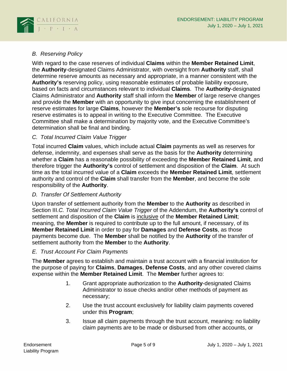

# *B. Reserving Policy*

With regard to the case reserves of individual **Claims** within the **Member Retained Limit**, the **Authority**-designated Claims Administrator, with oversight from **Authority** staff, shall determine reserve amounts as necessary and appropriate, in a manner consistent with the **Authority's** reserving policy, using reasonable estimates of probable liability exposure, based on facts and circumstances relevant to individual **Claims**. The **Authority**-designated Claims Administrator and **Authority** staff shall inform the **Member** of large reserve changes and provide the **Member** with an opportunity to give input concerning the establishment of reserve estimates for large **Claims**, however the **Member's** sole recourse for disputing reserve estimates is to appeal in writing to the Executive Committee. The Executive Committee shall make a determination by majority vote, and the Executive Committee's determination shall be final and binding.

## *C. Total Incurred Claim Value Trigger*

Total incurred **Claim** values, which include actual **Claim** payments as well as reserves for defense, indemnity, and expenses shall serve as the basis for the **Authority** determining whether a **Claim** has a reasonable possibility of exceeding the **Member Retained Limit**, and therefore trigger the **Authority's** control of settlement and disposition of the **Claim**. At such time as the total incurred value of a **Claim** exceeds the **Member Retained Limit**, settlement authority and control of the **Claim** shall transfer from the **Member**, and become the sole responsibility of the **Authority**.

## *D. Transfer Of Settlement Authority*

Upon transfer of settlement authority from the **Member** to the **Authority** as described in Section III.*C. Total Incurred Claim Value Trigger* of the Addendum, the **Authority's** control of settlement and disposition of the **Claim** is inclusive of the **Member Retained Limit**; meaning, the **Member** is required to contribute up to the full amount, if necessary, of its **Member Retained Limit** in order to pay for **Damages** and **Defense Costs**, as those payments become due. The **Member** shall be notified by the **Authority** of the transfer of settlement authority from the **Member** to the **Authority**.

### *E. Trust Account For Claim Payments*

The **Member** agrees to establish and maintain a trust account with a financial institution for the purpose of paying for **Claims**, **Damages**, **Defense Costs**, and any other covered claims expense within the **Member Retained Limit**. The **Member** further agrees to:

- 1. Grant appropriate authorization to the **Authority**-designated Claims Administrator to issue checks and/or other methods of payment as necessary;
- 2. Use the trust account exclusively for liability claim payments covered under this **Program**;
- 3. Issue all claim payments through the trust account, meaning: no liability claim payments are to be made or disbursed from other accounts, or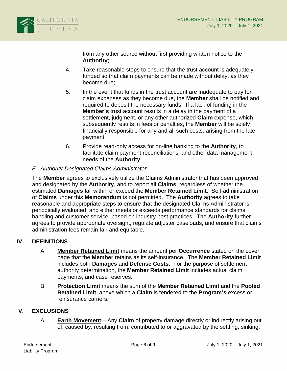

from any other source without first providing written notice to the **Authority**;

- 4. Take reasonable steps to ensure that the trust account is adequately funded so that claim payments can be made without delay, as they become due;
- 5. In the event that funds in the trust account are inadequate to pay for claim expenses as they become due, the **Member** shall be notified and required to deposit the necessary funds. If a lack of funding in the **Member's** trust account results in a delay in the payment of a settlement, judgment, or any other authorized **Claim** expense, which subsequently results in fees or penalties, the **Member** will be solely financially responsible for any and all such costs, arising from the late payment;
- 6. Provide read-only access for on-line banking to the **Authority**, to facilitate claim payment reconciliations, and other data management needs of the **Authority**.

## *F. Authority-Designated Claims Administrator*

The **Member** agrees to exclusively utilize the Claims Administrator that has been approved and designated by the **Authority**, and to report all **Claims**, regardless of whether the estimated **Damages** fall within or exceed the **Member Retained Limit**. Self-administration of **Claims** under this **Memorandum** is not permitted. The **Authority** agrees to take reasonable and appropriate steps to ensure that the designated Claims Administrator is periodically evaluated, and either meets or exceeds performance standards for claims handling and customer service, based on industry best practices. The **Authority** further agrees to provide appropriate oversight, regulate adjuster caseloads, and ensure that claims administration fees remain fair and equitable.

### **IV. DEFINITIONS**

- A. **Member Retained Limit** means the amount per **Occurrence** stated on the cover page that the **Member** retains as its self-insurance. The **Member Retained Limit** includes both **Damages** and **Defense Costs**. For the purpose of settlement authority determination, the **Member Retained Limit** includes actual claim payments, and case reserves.
- B. **Protection Limit** means the sum of the **Member Retained Limit** and the **Pooled Retained Limit**, above which a **Claim** is tendered to the **Program's** excess or reinsurance carriers.

### **V. EXCLUSIONS**

A. **Earth Movement** – Any **Claim** of property damage directly or indirectly arising out of, caused by, resulting from, contributed to or aggravated by the settling, sinking,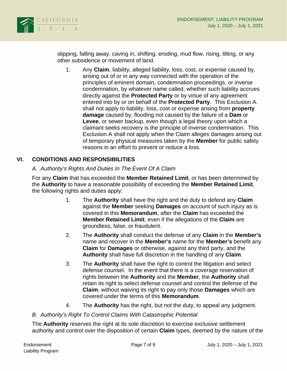

slipping, falling away, caving in, shifting, eroding, mud flow, rising, tilting, or any other subsidence or movement of land.

1. Any **Claim**, liability, alleged liability, loss, cost, or expense caused by, arising out of or in any way connected with the operation of the principles of eminent domain, condemnation proceedings, or inverse condemnation, by whatever name called, whether such liability accrues directly against the **Protected Party** or by virtue of any agreement entered into by or on behalf of the **Protected Party**. This Exclusion A. shall not apply to liability, loss, cost or expense arising from **property damage** caused by, flooding not caused by the failure of a **Dam** or **Levee**, or sewer backup, even though a legal theory upon which a claimant seeks recovery is the principle of inverse condemnation. This Exclusion A shall not apply when the Claim alleges damages arising out of temporary physical measures taken by the **Member** for public safety reasons in an effort to prevent or reduce a loss.

## **VI. CONDITIONS AND RESPONSIBILITIES**

### *A. Authority's Rights And Duties In The Event Of A Claim*

For any **Claim** that has exceeded the **Member Retained Limit**, or has been determined by the **Authority** to have a reasonable possibility of exceeding the **Member Retained Limit**, the following rights and duties apply:

- 1. The **Authority** shall have the right and the duty to defend any **Claim** against the **Member** seeking **Damages** on account of such injury as is covered in this **Memorandum**, after the **Claim** has exceeded the **Member Retained Limit**, even if the allegations of the **Claim** are groundless, false, or fraudulent.
- 2. The **Authority** shall conduct the defense of any **Claim** in the **Member's** name and recover in the **Member's** name for the **Member's** benefit any **Claim** for **Damages** or otherwise, against any third party, and the **Authority** shall have full discretion in the handling of any **Claim**.
- 3. The **Authority** shall have the right to control the litigation and select defense counsel. In the event that there is a coverage reservation of rights between the **Authority** and the **Member**, the **Authority** shall retain its right to select defense counsel and control the defense of the **Claim**, without waiving its right to pay only those **Damages** which are covered under the terms of this **Memorandum**.
- 4. The **Authority** has the right, but not the duty, to appeal any judgment.

#### *B. Authority's Right To Control Claims With Catastrophic Potential*

The **Authority** reserves the right at its sole discretion to exercise exclusive settlement authority and control over the disposition of certain **Claim** types, deemed by the nature of the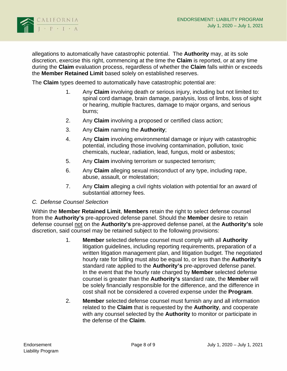

allegations to automatically have catastrophic potential. The **Authority** may, at its sole discretion, exercise this right, commencing at the time the **Claim** is reported, or at any time during the **Claim** evaluation process, regardless of whether the **Claim** falls within or exceeds the **Member Retained Limit** based solely on established reserves.

The **Claim** types deemed to automatically have catastrophic potential are:

- 1. Any **Claim** involving death or serious injury, including but not limited to: spinal cord damage, brain damage, paralysis, loss of limbs, loss of sight or hearing, multiple fractures, damage to major organs, and serious burns;
- 2. Any **Claim** involving a proposed or certified class action;
- 3. Any **Claim** naming the **Authority**;
- 4. Any **Claim** involving environmental damage or injury with catastrophic potential, including those involving contamination, pollution, toxic chemicals, nuclear, radiation, lead, fungus, mold or asbestos;
- 5. Any **Claim** involving terrorism or suspected terrorism;
- 6. Any **Claim** alleging sexual misconduct of any type, including rape, abuse, assault, or molestation;
- 7. Any **Claim** alleging a civil rights violation with potential for an award of substantial attorney fees.

#### *C. Defense Counsel Selection*

Within the **Member Retained Limit**, **Members** retain the right to select defense counsel from the **Authority's** pre-approved defense panel. Should the **Member** desire to retain defense counsel not on the **Authority's** pre-approved defense panel, at the **Authority's** sole discretion, said counsel may be retained subject to the following provisions:

- 1. **Member** selected defense counsel must comply with all **Authority** litigation guidelines, including reporting requirements, preparation of a written litigation management plan, and litigation budget. The negotiated hourly rate for billing must also be equal to, or less than the **Authority's** standard rate applied to the **Authority's** pre-approved defense panel. In the event that the hourly rate charged by **Member** selected defense counsel is greater than the **Authority's** standard rate, the **Member** will be solely financially responsible for the difference, and the difference in cost shall not be considered a covered expense under the **Program**.
- 2. **Member** selected defense counsel must furnish any and all information related to the **Claim** that is requested by the **Authority**, and cooperate with any counsel selected by the **Authority** to monitor or participate in the defense of the **Claim**.